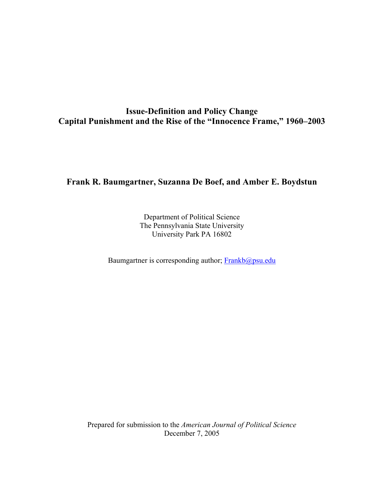# **Issue-Definition and Policy Change Capital Punishment and the Rise of the "Innocence Frame," 1960–2003**

## **Frank R. Baumgartner, Suzanna De Boef, and Amber E. Boydstun**

Department of Political Science The Pennsylvania State University University Park PA 16802

Baumgartner is corresponding author; Frankb@psu.edu

Prepared for submission to the *American Journal of Political Science* December 7, 2005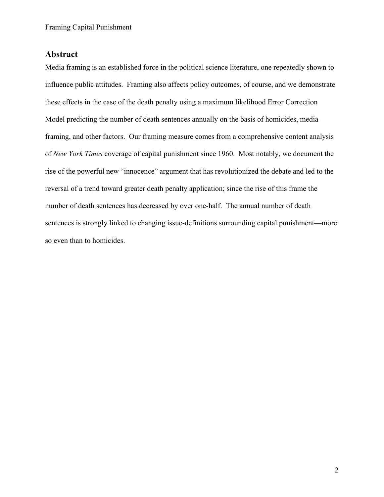# **Abstract**

Media framing is an established force in the political science literature, one repeatedly shown to influence public attitudes. Framing also affects policy outcomes, of course, and we demonstrate these effects in the case of the death penalty using a maximum likelihood Error Correction Model predicting the number of death sentences annually on the basis of homicides, media framing, and other factors. Our framing measure comes from a comprehensive content analysis of *New York Times* coverage of capital punishment since 1960. Most notably, we document the rise of the powerful new "innocence" argument that has revolutionized the debate and led to the reversal of a trend toward greater death penalty application; since the rise of this frame the number of death sentences has decreased by over one-half. The annual number of death sentences is strongly linked to changing issue-definitions surrounding capital punishment—more so even than to homicides.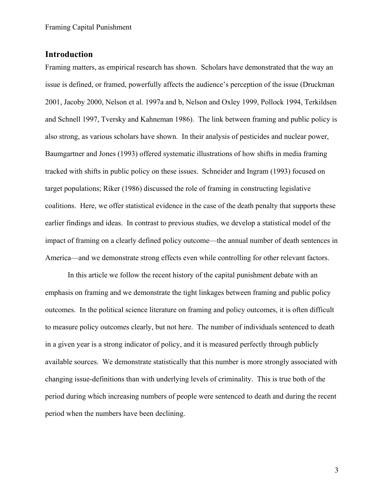# **Introduction**

Framing matters, as empirical research has shown. Scholars have demonstrated that the way an issue is defined, or framed, powerfully affects the audience's perception of the issue (Druckman 2001, Jacoby 2000, Nelson et al. 1997a and b, Nelson and Oxley 1999, Pollock 1994, Terkildsen and Schnell 1997, Tversky and Kahneman 1986). The link between framing and public policy is also strong, as various scholars have shown. In their analysis of pesticides and nuclear power, Baumgartner and Jones (1993) offered systematic illustrations of how shifts in media framing tracked with shifts in public policy on these issues. Schneider and Ingram (1993) focused on target populations; Riker (1986) discussed the role of framing in constructing legislative coalitions. Here, we offer statistical evidence in the case of the death penalty that supports these earlier findings and ideas. In contrast to previous studies, we develop a statistical model of the impact of framing on a clearly defined policy outcome—the annual number of death sentences in America—and we demonstrate strong effects even while controlling for other relevant factors.

In this article we follow the recent history of the capital punishment debate with an emphasis on framing and we demonstrate the tight linkages between framing and public policy outcomes. In the political science literature on framing and policy outcomes, it is often difficult to measure policy outcomes clearly, but not here. The number of individuals sentenced to death in a given year is a strong indicator of policy, and it is measured perfectly through publicly available sources. We demonstrate statistically that this number is more strongly associated with changing issue-definitions than with underlying levels of criminality. This is true both of the period during which increasing numbers of people were sentenced to death and during the recent period when the numbers have been declining.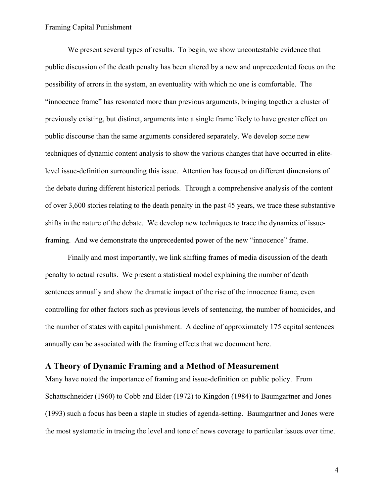We present several types of results. To begin, we show uncontestable evidence that public discussion of the death penalty has been altered by a new and unprecedented focus on the possibility of errors in the system, an eventuality with which no one is comfortable. The "innocence frame" has resonated more than previous arguments, bringing together a cluster of previously existing, but distinct, arguments into a single frame likely to have greater effect on public discourse than the same arguments considered separately. We develop some new techniques of dynamic content analysis to show the various changes that have occurred in elitelevel issue-definition surrounding this issue. Attention has focused on different dimensions of the debate during different historical periods. Through a comprehensive analysis of the content of over 3,600 stories relating to the death penalty in the past 45 years, we trace these substantive shifts in the nature of the debate. We develop new techniques to trace the dynamics of issueframing. And we demonstrate the unprecedented power of the new "innocence" frame.

Finally and most importantly, we link shifting frames of media discussion of the death penalty to actual results. We present a statistical model explaining the number of death sentences annually and show the dramatic impact of the rise of the innocence frame, even controlling for other factors such as previous levels of sentencing, the number of homicides, and the number of states with capital punishment. A decline of approximately 175 capital sentences annually can be associated with the framing effects that we document here.

## **A Theory of Dynamic Framing and a Method of Measurement**

Many have noted the importance of framing and issue-definition on public policy. From Schattschneider (1960) to Cobb and Elder (1972) to Kingdon (1984) to Baumgartner and Jones (1993) such a focus has been a staple in studies of agenda-setting. Baumgartner and Jones were the most systematic in tracing the level and tone of news coverage to particular issues over time.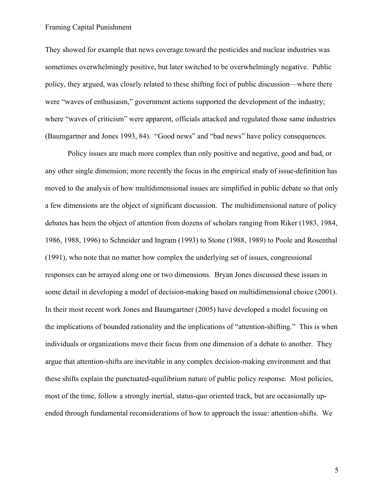They showed for example that news coverage toward the pesticides and nuclear industries was sometimes overwhelmingly positive, but later switched to be overwhelmingly negative. Public policy, they argued, was closely related to these shifting foci of public discussion—where there were "waves of enthusiasm," government actions supported the development of the industry; where "waves of criticism" were apparent, officials attacked and regulated those same industries (Baumgartner and Jones 1993, 84). "Good news" and "bad news" have policy consequences.

Policy issues are much more complex than only positive and negative, good and bad, or any other single dimension; more recently the focus in the empirical study of issue-definition has moved to the analysis of how multidimensional issues are simplified in public debate so that only a few dimensions are the object of significant discussion. The multidimensional nature of policy debates has been the object of attention from dozens of scholars ranging from Riker (1983, 1984, 1986, 1988, 1996) to Schneider and Ingram (1993) to Stone (1988, 1989) to Poole and Rosenthal (1991), who note that no matter how complex the underlying set of issues, congressional responses can be arrayed along one or two dimensions. Bryan Jones discussed these issues in some detail in developing a model of decision-making based on multidimensional choice (2001). In their most recent work Jones and Baumgartner (2005) have developed a model focusing on the implications of bounded rationality and the implications of "attention-shifting." This is when individuals or organizations move their focus from one dimension of a debate to another. They argue that attention-shifts are inevitable in any complex decision-making environment and that these shifts explain the punctuated-equilibrium nature of public policy response. Most policies, most of the time, follow a strongly inertial, status-quo oriented track, but are occasionally upended through fundamental reconsiderations of how to approach the issue: attention-shifts. We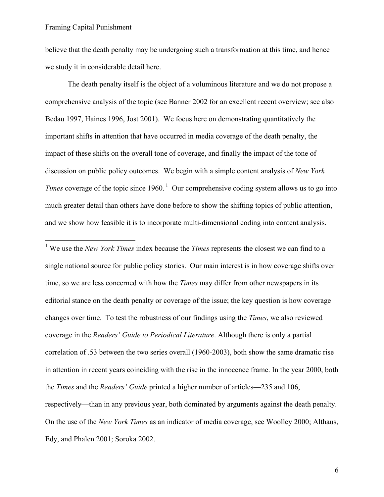$\overline{a}$ 

believe that the death penalty may be undergoing such a transformation at this time, and hence we study it in considerable detail here.

The death penalty itself is the object of a voluminous literature and we do not propose a comprehensive analysis of the topic (see Banner 2002 for an excellent recent overview; see also Bedau 1997, Haines 1996, Jost 2001). We focus here on demonstrating quantitatively the important shifts in attention that have occurred in media coverage of the death penalty, the impact of these shifts on the overall tone of coverage, and finally the impact of the tone of discussion on public policy outcomes. We begin with a simple content analysis of *New York Times* coverage of the topic since  $1960$ .<sup>1</sup> Our comprehensive coding system allows us to go into much greater detail than others have done before to show the shifting topics of public attention, and we show how feasible it is to incorporate multi-dimensional coding into content analysis.

<sup>1</sup> We use the *New York Times* index because the *Times* represents the closest we can find to a single national source for public policy stories. Our main interest is in how coverage shifts over time, so we are less concerned with how the *Times* may differ from other newspapers in its editorial stance on the death penalty or coverage of the issue; the key question is how coverage changes over time. To test the robustness of our findings using the *Times*, we also reviewed coverage in the *Readers' Guide to Periodical Literature*. Although there is only a partial correlation of .53 between the two series overall (1960-2003), both show the same dramatic rise in attention in recent years coinciding with the rise in the innocence frame. In the year 2000, both the *Times* and the *Readers' Guide* printed a higher number of articles—235 and 106, respectively—than in any previous year, both dominated by arguments against the death penalty. On the use of the *New York Times* as an indicator of media coverage, see Woolley 2000; Althaus, Edy, and Phalen 2001; Soroka 2002.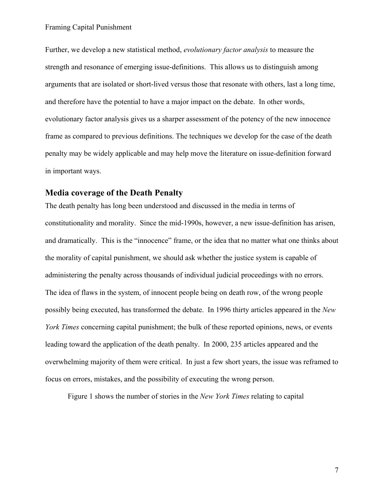Further, we develop a new statistical method, *evolutionary factor analysis* to measure the strength and resonance of emerging issue-definitions. This allows us to distinguish among arguments that are isolated or short-lived versus those that resonate with others, last a long time, and therefore have the potential to have a major impact on the debate. In other words, evolutionary factor analysis gives us a sharper assessment of the potency of the new innocence frame as compared to previous definitions. The techniques we develop for the case of the death penalty may be widely applicable and may help move the literature on issue-definition forward in important ways.

### **Media coverage of the Death Penalty**

The death penalty has long been understood and discussed in the media in terms of constitutionality and morality. Since the mid-1990s, however, a new issue-definition has arisen, and dramatically. This is the "innocence" frame, or the idea that no matter what one thinks about the morality of capital punishment, we should ask whether the justice system is capable of administering the penalty across thousands of individual judicial proceedings with no errors. The idea of flaws in the system, of innocent people being on death row, of the wrong people possibly being executed, has transformed the debate. In 1996 thirty articles appeared in the *New York Times* concerning capital punishment; the bulk of these reported opinions, news, or events leading toward the application of the death penalty. In 2000, 235 articles appeared and the overwhelming majority of them were critical. In just a few short years, the issue was reframed to focus on errors, mistakes, and the possibility of executing the wrong person.

Figure 1 shows the number of stories in the *New York Times* relating to capital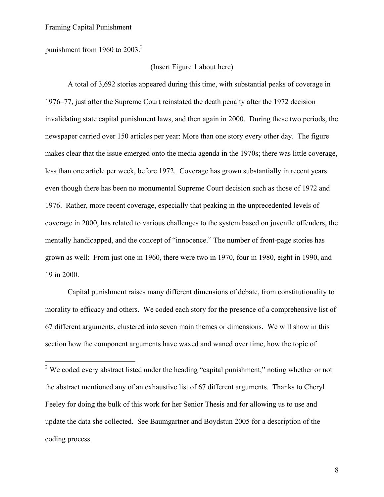$\overline{a}$ 

punishment from 1960 to  $2003<sup>2</sup>$ 

## (Insert Figure 1 about here)

A total of 3,692 stories appeared during this time, with substantial peaks of coverage in 1976–77, just after the Supreme Court reinstated the death penalty after the 1972 decision invalidating state capital punishment laws, and then again in 2000. During these two periods, the newspaper carried over 150 articles per year: More than one story every other day. The figure makes clear that the issue emerged onto the media agenda in the 1970s; there was little coverage, less than one article per week, before 1972. Coverage has grown substantially in recent years even though there has been no monumental Supreme Court decision such as those of 1972 and 1976. Rather, more recent coverage, especially that peaking in the unprecedented levels of coverage in 2000, has related to various challenges to the system based on juvenile offenders, the mentally handicapped, and the concept of "innocence." The number of front-page stories has grown as well: From just one in 1960, there were two in 1970, four in 1980, eight in 1990, and 19 in 2000.

Capital punishment raises many different dimensions of debate, from constitutionality to morality to efficacy and others. We coded each story for the presence of a comprehensive list of 67 different arguments, clustered into seven main themes or dimensions. We will show in this section how the component arguments have waxed and waned over time, how the topic of

<sup>2</sup> We coded every abstract listed under the heading "capital punishment," noting whether or not the abstract mentioned any of an exhaustive list of 67 different arguments. Thanks to Cheryl Feeley for doing the bulk of this work for her Senior Thesis and for allowing us to use and update the data she collected. See Baumgartner and Boydstun 2005 for a description of the coding process.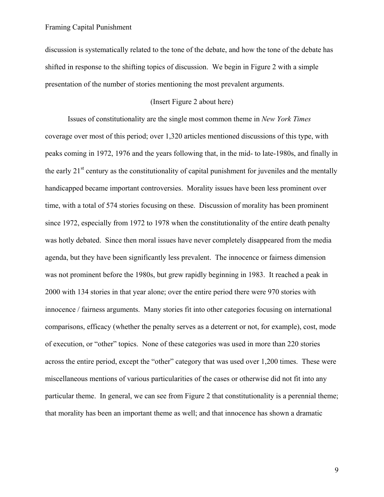discussion is systematically related to the tone of the debate, and how the tone of the debate has shifted in response to the shifting topics of discussion. We begin in Figure 2 with a simple presentation of the number of stories mentioning the most prevalent arguments.

### (Insert Figure 2 about here)

Issues of constitutionality are the single most common theme in *New York Times*  coverage over most of this period; over 1,320 articles mentioned discussions of this type, with peaks coming in 1972, 1976 and the years following that, in the mid- to late-1980s, and finally in the early  $21<sup>st</sup>$  century as the constitutionality of capital punishment for juveniles and the mentally handicapped became important controversies. Morality issues have been less prominent over time, with a total of 574 stories focusing on these. Discussion of morality has been prominent since 1972, especially from 1972 to 1978 when the constitutionality of the entire death penalty was hotly debated. Since then moral issues have never completely disappeared from the media agenda, but they have been significantly less prevalent. The innocence or fairness dimension was not prominent before the 1980s, but grew rapidly beginning in 1983. It reached a peak in 2000 with 134 stories in that year alone; over the entire period there were 970 stories with innocence / fairness arguments. Many stories fit into other categories focusing on international comparisons, efficacy (whether the penalty serves as a deterrent or not, for example), cost, mode of execution, or "other" topics. None of these categories was used in more than 220 stories across the entire period, except the "other" category that was used over 1,200 times. These were miscellaneous mentions of various particularities of the cases or otherwise did not fit into any particular theme. In general, we can see from Figure 2 that constitutionality is a perennial theme; that morality has been an important theme as well; and that innocence has shown a dramatic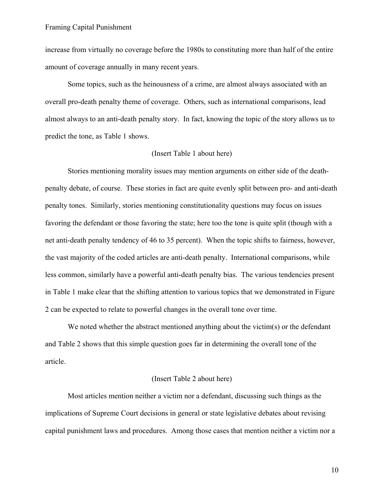increase from virtually no coverage before the 1980s to constituting more than half of the entire amount of coverage annually in many recent years.

Some topics, such as the heinousness of a crime, are almost always associated with an overall pro-death penalty theme of coverage. Others, such as international comparisons, lead almost always to an anti-death penalty story. In fact, knowing the topic of the story allows us to predict the tone, as Table 1 shows.

### (Insert Table 1 about here)

Stories mentioning morality issues may mention arguments on either side of the deathpenalty debate, of course. These stories in fact are quite evenly split between pro- and anti-death penalty tones. Similarly, stories mentioning constitutionality questions may focus on issues favoring the defendant or those favoring the state; here too the tone is quite split (though with a net anti-death penalty tendency of 46 to 35 percent). When the topic shifts to fairness, however, the vast majority of the coded articles are anti-death penalty. International comparisons, while less common, similarly have a powerful anti-death penalty bias. The various tendencies present in Table 1 make clear that the shifting attention to various topics that we demonstrated in Figure 2 can be expected to relate to powerful changes in the overall tone over time.

We noted whether the abstract mentioned anything about the victim(s) or the defendant and Table 2 shows that this simple question goes far in determining the overall tone of the article.

### (Insert Table 2 about here)

Most articles mention neither a victim nor a defendant, discussing such things as the implications of Supreme Court decisions in general or state legislative debates about revising capital punishment laws and procedures. Among those cases that mention neither a victim nor a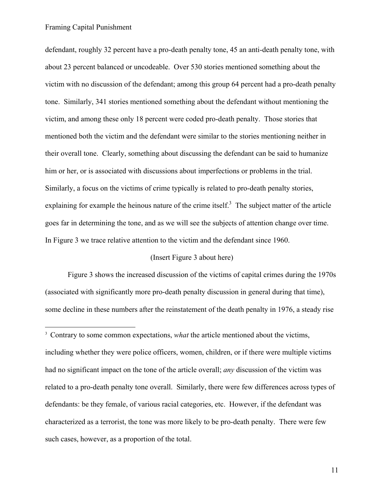$\overline{a}$ 

defendant, roughly 32 percent have a pro-death penalty tone, 45 an anti-death penalty tone, with about 23 percent balanced or uncodeable. Over 530 stories mentioned something about the victim with no discussion of the defendant; among this group 64 percent had a pro-death penalty tone. Similarly, 341 stories mentioned something about the defendant without mentioning the victim, and among these only 18 percent were coded pro-death penalty. Those stories that mentioned both the victim and the defendant were similar to the stories mentioning neither in their overall tone. Clearly, something about discussing the defendant can be said to humanize him or her, or is associated with discussions about imperfections or problems in the trial. Similarly, a focus on the victims of crime typically is related to pro-death penalty stories, explaining for example the heinous nature of the crime itself. $3$  The subject matter of the article goes far in determining the tone, and as we will see the subjects of attention change over time. In Figure 3 we trace relative attention to the victim and the defendant since 1960.

### (Insert Figure 3 about here)

Figure 3 shows the increased discussion of the victims of capital crimes during the 1970s (associated with significantly more pro-death penalty discussion in general during that time), some decline in these numbers after the reinstatement of the death penalty in 1976, a steady rise

<sup>&</sup>lt;sup>3</sup> Contrary to some common expectations, *what* the article mentioned about the victims, including whether they were police officers, women, children, or if there were multiple victims had no significant impact on the tone of the article overall; *any* discussion of the victim was related to a pro-death penalty tone overall. Similarly, there were few differences across types of defendants: be they female, of various racial categories, etc. However, if the defendant was characterized as a terrorist, the tone was more likely to be pro-death penalty. There were few such cases, however, as a proportion of the total.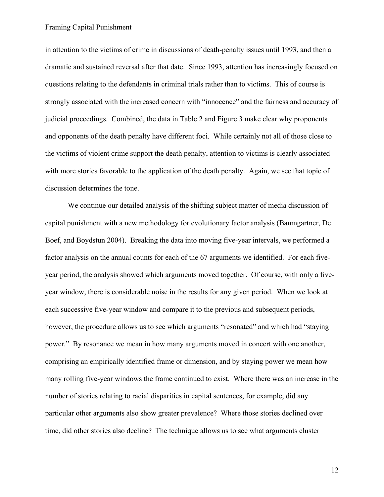in attention to the victims of crime in discussions of death-penalty issues until 1993, and then a dramatic and sustained reversal after that date. Since 1993, attention has increasingly focused on questions relating to the defendants in criminal trials rather than to victims. This of course is strongly associated with the increased concern with "innocence" and the fairness and accuracy of judicial proceedings. Combined, the data in Table 2 and Figure 3 make clear why proponents and opponents of the death penalty have different foci. While certainly not all of those close to the victims of violent crime support the death penalty, attention to victims is clearly associated with more stories favorable to the application of the death penalty. Again, we see that topic of discussion determines the tone.

We continue our detailed analysis of the shifting subject matter of media discussion of capital punishment with a new methodology for evolutionary factor analysis (Baumgartner, De Boef, and Boydstun 2004). Breaking the data into moving five-year intervals, we performed a factor analysis on the annual counts for each of the 67 arguments we identified. For each fiveyear period, the analysis showed which arguments moved together. Of course, with only a fiveyear window, there is considerable noise in the results for any given period. When we look at each successive five-year window and compare it to the previous and subsequent periods, however, the procedure allows us to see which arguments "resonated" and which had "staying power." By resonance we mean in how many arguments moved in concert with one another, comprising an empirically identified frame or dimension, and by staying power we mean how many rolling five-year windows the frame continued to exist. Where there was an increase in the number of stories relating to racial disparities in capital sentences, for example, did any particular other arguments also show greater prevalence? Where those stories declined over time, did other stories also decline? The technique allows us to see what arguments cluster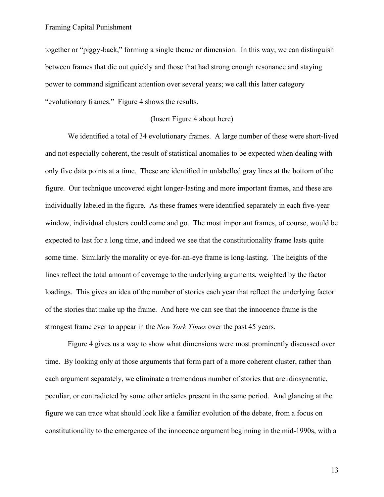together or "piggy-back," forming a single theme or dimension. In this way, we can distinguish between frames that die out quickly and those that had strong enough resonance and staying power to command significant attention over several years; we call this latter category "evolutionary frames." Figure 4 shows the results.

### (Insert Figure 4 about here)

We identified a total of 34 evolutionary frames. A large number of these were short-lived and not especially coherent, the result of statistical anomalies to be expected when dealing with only five data points at a time. These are identified in unlabelled gray lines at the bottom of the figure. Our technique uncovered eight longer-lasting and more important frames, and these are individually labeled in the figure. As these frames were identified separately in each five-year window, individual clusters could come and go. The most important frames, of course, would be expected to last for a long time, and indeed we see that the constitutionality frame lasts quite some time. Similarly the morality or eye-for-an-eye frame is long-lasting. The heights of the lines reflect the total amount of coverage to the underlying arguments, weighted by the factor loadings. This gives an idea of the number of stories each year that reflect the underlying factor of the stories that make up the frame. And here we can see that the innocence frame is the strongest frame ever to appear in the *New York Times* over the past 45 years.

Figure 4 gives us a way to show what dimensions were most prominently discussed over time. By looking only at those arguments that form part of a more coherent cluster, rather than each argument separately, we eliminate a tremendous number of stories that are idiosyncratic, peculiar, or contradicted by some other articles present in the same period. And glancing at the figure we can trace what should look like a familiar evolution of the debate, from a focus on constitutionality to the emergence of the innocence argument beginning in the mid-1990s, with a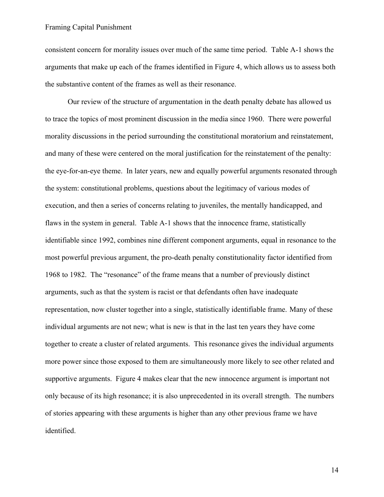consistent concern for morality issues over much of the same time period. Table A-1 shows the arguments that make up each of the frames identified in Figure 4, which allows us to assess both the substantive content of the frames as well as their resonance.

Our review of the structure of argumentation in the death penalty debate has allowed us to trace the topics of most prominent discussion in the media since 1960. There were powerful morality discussions in the period surrounding the constitutional moratorium and reinstatement, and many of these were centered on the moral justification for the reinstatement of the penalty: the eye-for-an-eye theme. In later years, new and equally powerful arguments resonated through the system: constitutional problems, questions about the legitimacy of various modes of execution, and then a series of concerns relating to juveniles, the mentally handicapped, and flaws in the system in general. Table A-1 shows that the innocence frame, statistically identifiable since 1992, combines nine different component arguments, equal in resonance to the most powerful previous argument, the pro-death penalty constitutionality factor identified from 1968 to 1982. The "resonance" of the frame means that a number of previously distinct arguments, such as that the system is racist or that defendants often have inadequate representation, now cluster together into a single, statistically identifiable frame. Many of these individual arguments are not new; what is new is that in the last ten years they have come together to create a cluster of related arguments. This resonance gives the individual arguments more power since those exposed to them are simultaneously more likely to see other related and supportive arguments. Figure 4 makes clear that the new innocence argument is important not only because of its high resonance; it is also unprecedented in its overall strength. The numbers of stories appearing with these arguments is higher than any other previous frame we have identified.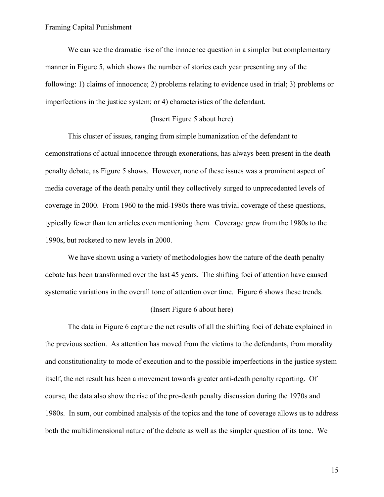We can see the dramatic rise of the innocence question in a simpler but complementary manner in Figure 5, which shows the number of stories each year presenting any of the following: 1) claims of innocence; 2) problems relating to evidence used in trial; 3) problems or imperfections in the justice system; or 4) characteristics of the defendant.

### (Insert Figure 5 about here)

This cluster of issues, ranging from simple humanization of the defendant to demonstrations of actual innocence through exonerations, has always been present in the death penalty debate, as Figure 5 shows. However, none of these issues was a prominent aspect of media coverage of the death penalty until they collectively surged to unprecedented levels of coverage in 2000. From 1960 to the mid-1980s there was trivial coverage of these questions, typically fewer than ten articles even mentioning them. Coverage grew from the 1980s to the 1990s, but rocketed to new levels in 2000.

We have shown using a variety of methodologies how the nature of the death penalty debate has been transformed over the last 45 years. The shifting foci of attention have caused systematic variations in the overall tone of attention over time. Figure 6 shows these trends.

#### (Insert Figure 6 about here)

The data in Figure 6 capture the net results of all the shifting foci of debate explained in the previous section. As attention has moved from the victims to the defendants, from morality and constitutionality to mode of execution and to the possible imperfections in the justice system itself, the net result has been a movement towards greater anti-death penalty reporting. Of course, the data also show the rise of the pro-death penalty discussion during the 1970s and 1980s. In sum, our combined analysis of the topics and the tone of coverage allows us to address both the multidimensional nature of the debate as well as the simpler question of its tone. We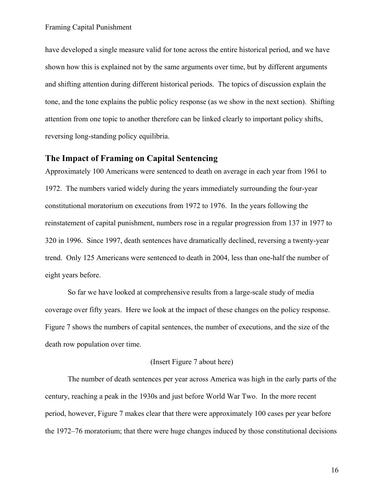have developed a single measure valid for tone across the entire historical period, and we have shown how this is explained not by the same arguments over time, but by different arguments and shifting attention during different historical periods. The topics of discussion explain the tone, and the tone explains the public policy response (as we show in the next section). Shifting attention from one topic to another therefore can be linked clearly to important policy shifts, reversing long-standing policy equilibria.

# **The Impact of Framing on Capital Sentencing**

Approximately 100 Americans were sentenced to death on average in each year from 1961 to 1972. The numbers varied widely during the years immediately surrounding the four-year constitutional moratorium on executions from 1972 to 1976. In the years following the reinstatement of capital punishment, numbers rose in a regular progression from 137 in 1977 to 320 in 1996. Since 1997, death sentences have dramatically declined, reversing a twenty-year trend. Only 125 Americans were sentenced to death in 2004, less than one-half the number of eight years before.

So far we have looked at comprehensive results from a large-scale study of media coverage over fifty years. Here we look at the impact of these changes on the policy response. Figure 7 shows the numbers of capital sentences, the number of executions, and the size of the death row population over time.

### (Insert Figure 7 about here)

The number of death sentences per year across America was high in the early parts of the century, reaching a peak in the 1930s and just before World War Two. In the more recent period, however, Figure 7 makes clear that there were approximately 100 cases per year before the 1972–76 moratorium; that there were huge changes induced by those constitutional decisions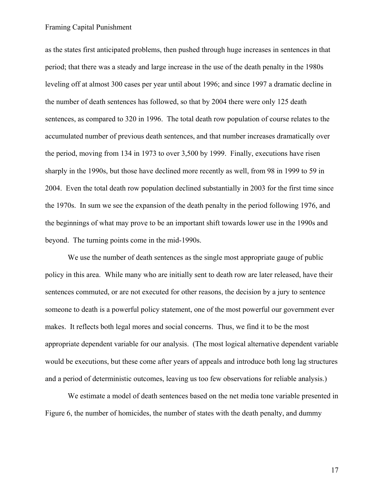as the states first anticipated problems, then pushed through huge increases in sentences in that period; that there was a steady and large increase in the use of the death penalty in the 1980s leveling off at almost 300 cases per year until about 1996; and since 1997 a dramatic decline in the number of death sentences has followed, so that by 2004 there were only 125 death sentences, as compared to 320 in 1996. The total death row population of course relates to the accumulated number of previous death sentences, and that number increases dramatically over the period, moving from 134 in 1973 to over 3,500 by 1999. Finally, executions have risen sharply in the 1990s, but those have declined more recently as well, from 98 in 1999 to 59 in 2004. Even the total death row population declined substantially in 2003 for the first time since the 1970s. In sum we see the expansion of the death penalty in the period following 1976, and the beginnings of what may prove to be an important shift towards lower use in the 1990s and beyond. The turning points come in the mid-1990s.

We use the number of death sentences as the single most appropriate gauge of public policy in this area. While many who are initially sent to death row are later released, have their sentences commuted, or are not executed for other reasons, the decision by a jury to sentence someone to death is a powerful policy statement, one of the most powerful our government ever makes. It reflects both legal mores and social concerns. Thus, we find it to be the most appropriate dependent variable for our analysis. (The most logical alternative dependent variable would be executions, but these come after years of appeals and introduce both long lag structures and a period of deterministic outcomes, leaving us too few observations for reliable analysis.)

We estimate a model of death sentences based on the net media tone variable presented in Figure 6, the number of homicides, the number of states with the death penalty, and dummy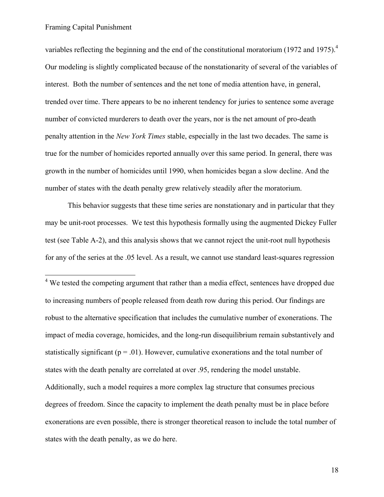1

variables reflecting the beginning and the end of the constitutional moratorium (1972 and 1975).<sup>4</sup> Our modeling is slightly complicated because of the nonstationarity of several of the variables of interest. Both the number of sentences and the net tone of media attention have, in general, trended over time. There appears to be no inherent tendency for juries to sentence some average number of convicted murderers to death over the years, nor is the net amount of pro-death penalty attention in the *New York Times* stable, especially in the last two decades. The same is true for the number of homicides reported annually over this same period. In general, there was growth in the number of homicides until 1990, when homicides began a slow decline. And the number of states with the death penalty grew relatively steadily after the moratorium.

This behavior suggests that these time series are nonstationary and in particular that they may be unit-root processes. We test this hypothesis formally using the augmented Dickey Fuller test (see Table A-2), and this analysis shows that we cannot reject the unit-root null hypothesis for any of the series at the .05 level. As a result, we cannot use standard least-squares regression

<sup>4</sup> We tested the competing argument that rather than a media effect, sentences have dropped due to increasing numbers of people released from death row during this period. Our findings are robust to the alternative specification that includes the cumulative number of exonerations. The impact of media coverage, homicides, and the long-run disequilibrium remain substantively and statistically significant ( $p = .01$ ). However, cumulative exonerations and the total number of states with the death penalty are correlated at over .95, rendering the model unstable. Additionally, such a model requires a more complex lag structure that consumes precious degrees of freedom. Since the capacity to implement the death penalty must be in place before exonerations are even possible, there is stronger theoretical reason to include the total number of states with the death penalty, as we do here.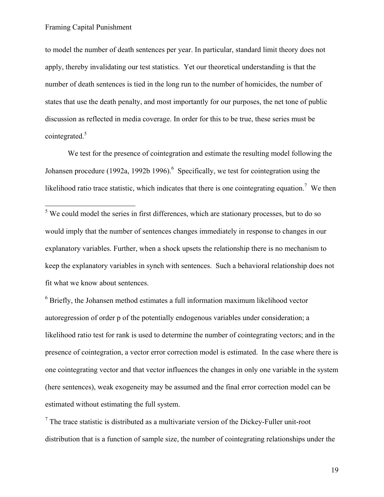to model the number of death sentences per year. In particular, standard limit theory does not apply, thereby invalidating our test statistics. Yet our theoretical understanding is that the number of death sentences is tied in the long run to the number of homicides, the number of states that use the death penalty, and most importantly for our purposes, the net tone of public discussion as reflected in media coverage. In order for this to be true, these series must be cointegrated.5

We test for the presence of cointegration and estimate the resulting model following the Johansen procedure (1992a, 1992b 1996). <sup>6</sup> Specifically, we test for cointegration using the likelihood ratio trace statistic, which indicates that there is one cointegrating equation.<sup>7</sup> We then

<sup>5</sup>We could model the series in first differences, which are stationary processes, but to do so would imply that the number of sentences changes immediately in response to changes in our explanatory variables. Further, when a shock upsets the relationship there is no mechanism to keep the explanatory variables in synch with sentences. Such a behavioral relationship does not fit what we know about sentences.

 $6$  Briefly, the Johansen method estimates a full information maximum likelihood vector autoregression of order p of the potentially endogenous variables under consideration; a likelihood ratio test for rank is used to determine the number of cointegrating vectors; and in the presence of cointegration, a vector error correction model is estimated. In the case where there is one cointegrating vector and that vector influences the changes in only one variable in the system (here sentences), weak exogeneity may be assumed and the final error correction model can be estimated without estimating the full system.

 $<sup>7</sup>$  The trace statistic is distributed as a multivariate version of the Dickey-Fuller unit-root</sup> distribution that is a function of sample size, the number of cointegrating relationships under the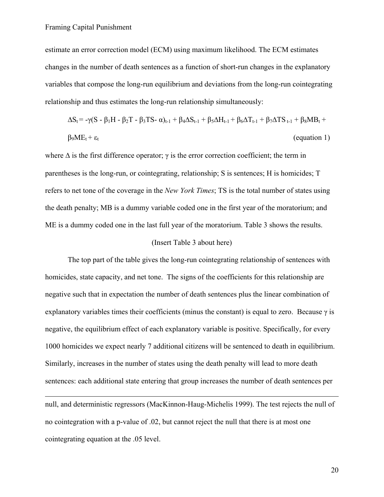<u>.</u>

estimate an error correction model (ECM) using maximum likelihood. The ECM estimates changes in the number of death sentences as a function of short-run changes in the explanatory variables that compose the long-run equilibrium and deviations from the long-run cointegrating relationship and thus estimates the long-run relationship simultaneously:

$$
\Delta S_t = -\gamma (S - \beta_1 H - \beta_2 T - \beta_3 TS - \alpha)_{t-1} + \beta_4 \Delta S_{t-1} + \beta_5 \Delta H_{t-1} + \beta_6 \Delta T_{t-1} + \beta_7 \Delta TS_{t-1} + \beta_8 MB_t +
$$
  
\n
$$
\beta_9 ME_t + \varepsilon_t
$$
 (equation 1)

where  $\Delta$  is the first difference operator;  $\gamma$  is the error correction coefficient; the term in parentheses is the long-run, or cointegrating, relationship; S is sentences; H is homicides; T refers to net tone of the coverage in the *New York Times*; TS is the total number of states using the death penalty; MB is a dummy variable coded one in the first year of the moratorium; and ME is a dummy coded one in the last full year of the moratorium. Table 3 shows the results.

#### (Insert Table 3 about here)

The top part of the table gives the long-run cointegrating relationship of sentences with homicides, state capacity, and net tone. The signs of the coefficients for this relationship are negative such that in expectation the number of death sentences plus the linear combination of explanatory variables times their coefficients (minus the constant) is equal to zero. Because  $\gamma$  is negative, the equilibrium effect of each explanatory variable is positive. Specifically, for every 1000 homicides we expect nearly 7 additional citizens will be sentenced to death in equilibrium. Similarly, increases in the number of states using the death penalty will lead to more death sentences: each additional state entering that group increases the number of death sentences per

null, and deterministic regressors (MacKinnon-Haug-Michelis 1999). The test rejects the null of no cointegration with a p-value of .02, but cannot reject the null that there is at most one cointegrating equation at the .05 level.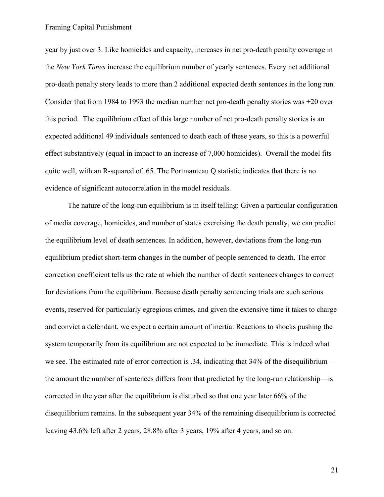year by just over 3. Like homicides and capacity, increases in net pro-death penalty coverage in the *New York Times* increase the equilibrium number of yearly sentences. Every net additional pro-death penalty story leads to more than 2 additional expected death sentences in the long run. Consider that from 1984 to 1993 the median number net pro-death penalty stories was +20 over this period. The equilibrium effect of this large number of net pro-death penalty stories is an expected additional 49 individuals sentenced to death each of these years, so this is a powerful effect substantively (equal in impact to an increase of 7,000 homicides). Overall the model fits quite well, with an R-squared of .65. The Portmanteau Q statistic indicates that there is no evidence of significant autocorrelation in the model residuals.

The nature of the long-run equilibrium is in itself telling: Given a particular configuration of media coverage, homicides, and number of states exercising the death penalty, we can predict the equilibrium level of death sentences. In addition, however, deviations from the long-run equilibrium predict short-term changes in the number of people sentenced to death. The error correction coefficient tells us the rate at which the number of death sentences changes to correct for deviations from the equilibrium. Because death penalty sentencing trials are such serious events, reserved for particularly egregious crimes, and given the extensive time it takes to charge and convict a defendant, we expect a certain amount of inertia: Reactions to shocks pushing the system temporarily from its equilibrium are not expected to be immediate. This is indeed what we see. The estimated rate of error correction is .34, indicating that 34% of the disequilibrium the amount the number of sentences differs from that predicted by the long-run relationship—is corrected in the year after the equilibrium is disturbed so that one year later 66% of the disequilibrium remains. In the subsequent year 34% of the remaining disequilibrium is corrected leaving 43.6% left after 2 years, 28.8% after 3 years, 19% after 4 years, and so on.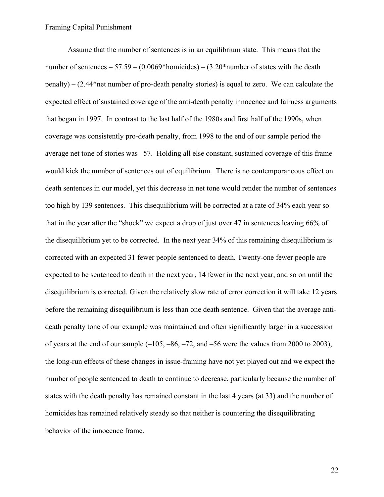Assume that the number of sentences is in an equilibrium state. This means that the number of sentences – 57.59 –  $(0.0069*$ homicides) –  $(3.20*$ number of states with the death penalty) – (2.44\*net number of pro-death penalty stories) is equal to zero. We can calculate the expected effect of sustained coverage of the anti-death penalty innocence and fairness arguments that began in 1997. In contrast to the last half of the 1980s and first half of the 1990s, when coverage was consistently pro-death penalty, from 1998 to the end of our sample period the average net tone of stories was –57. Holding all else constant, sustained coverage of this frame would kick the number of sentences out of equilibrium. There is no contemporaneous effect on death sentences in our model, yet this decrease in net tone would render the number of sentences too high by 139 sentences. This disequilibrium will be corrected at a rate of 34% each year so that in the year after the "shock" we expect a drop of just over 47 in sentences leaving 66% of the disequilibrium yet to be corrected. In the next year 34% of this remaining disequilibrium is corrected with an expected 31 fewer people sentenced to death. Twenty-one fewer people are expected to be sentenced to death in the next year, 14 fewer in the next year, and so on until the disequilibrium is corrected. Given the relatively slow rate of error correction it will take 12 years before the remaining disequilibrium is less than one death sentence. Given that the average antideath penalty tone of our example was maintained and often significantly larger in a succession of years at the end of our sample  $(-105, -86, -72,$  and  $-56$  were the values from 2000 to 2003), the long-run effects of these changes in issue-framing have not yet played out and we expect the number of people sentenced to death to continue to decrease, particularly because the number of states with the death penalty has remained constant in the last 4 years (at 33) and the number of homicides has remained relatively steady so that neither is countering the disequilibrating behavior of the innocence frame.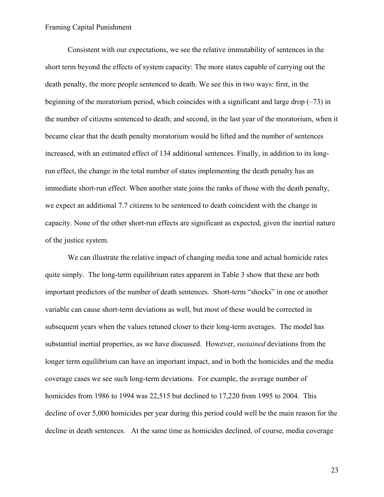Consistent with our expectations, we see the relative immutability of sentences in the short term beyond the effects of system capacity: The more states capable of carrying out the death penalty, the more people sentenced to death. We see this in two ways: first, in the beginning of the moratorium period, which coincides with a significant and large drop  $(-73)$  in the number of citizens sentenced to death; and second, in the last year of the moratorium, when it became clear that the death penalty moratorium would be lifted and the number of sentences increased, with an estimated effect of 134 additional sentences. Finally, in addition to its longrun effect, the change in the total number of states implementing the death penalty has an immediate short-run effect. When another state joins the ranks of those with the death penalty, we expect an additional 7.7 citizens to be sentenced to death coincident with the change in capacity. None of the other short-run effects are significant as expected, given the inertial nature of the justice system.

We can illustrate the relative impact of changing media tone and actual homicide rates quite simply. The long-term equilibrium rates apparent in Table 3 show that these are both important predictors of the number of death sentences. Short-term "shocks" in one or another variable can cause short-term deviations as well, but most of these would be corrected in subsequent years when the values retuned closer to their long-term averages. The model has substantial inertial properties, as we have discussed. However, *sustained* deviations from the longer term equilibrium can have an important impact, and in both the homicides and the media coverage cases we see such long-term deviations. For example, the average number of homicides from 1986 to 1994 was 22,515 but declined to 17,220 from 1995 to 2004. This decline of over 5,000 homicides per year during this period could well be the main reason for the decline in death sentences. At the same time as homicides declined, of course, media coverage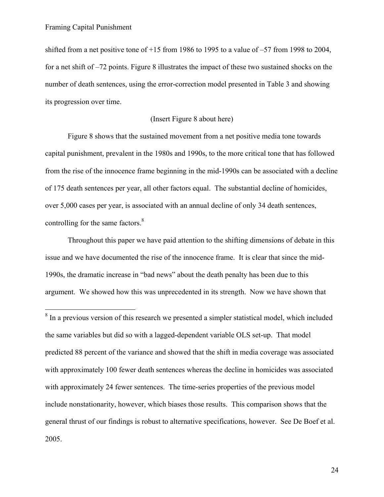$\overline{a}$ 

shifted from a net positive tone of +15 from 1986 to 1995 to a value of –57 from 1998 to 2004, for a net shift of –72 points. Figure 8 illustrates the impact of these two sustained shocks on the number of death sentences, using the error-correction model presented in Table 3 and showing its progression over time.

## (Insert Figure 8 about here)

Figure 8 shows that the sustained movement from a net positive media tone towards capital punishment, prevalent in the 1980s and 1990s, to the more critical tone that has followed from the rise of the innocence frame beginning in the mid-1990s can be associated with a decline of 175 death sentences per year, all other factors equal. The substantial decline of homicides, over 5,000 cases per year, is associated with an annual decline of only 34 death sentences, controlling for the same factors.<sup>8</sup>

Throughout this paper we have paid attention to the shifting dimensions of debate in this issue and we have documented the rise of the innocence frame. It is clear that since the mid-1990s, the dramatic increase in "bad news" about the death penalty has been due to this argument. We showed how this was unprecedented in its strength. Now we have shown that

 $8 \text{ In a previous version of this research we presented a simpler statistical model, which included$ the same variables but did so with a lagged-dependent variable OLS set-up. That model predicted 88 percent of the variance and showed that the shift in media coverage was associated with approximately 100 fewer death sentences whereas the decline in homicides was associated with approximately 24 fewer sentences. The time-series properties of the previous model include nonstationarity, however, which biases those results. This comparison shows that the general thrust of our findings is robust to alternative specifications, however. See De Boef et al. 2005.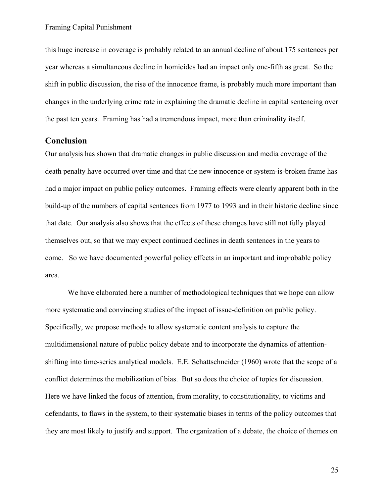this huge increase in coverage is probably related to an annual decline of about 175 sentences per year whereas a simultaneous decline in homicides had an impact only one-fifth as great. So the shift in public discussion, the rise of the innocence frame, is probably much more important than changes in the underlying crime rate in explaining the dramatic decline in capital sentencing over the past ten years. Framing has had a tremendous impact, more than criminality itself.

## **Conclusion**

Our analysis has shown that dramatic changes in public discussion and media coverage of the death penalty have occurred over time and that the new innocence or system-is-broken frame has had a major impact on public policy outcomes. Framing effects were clearly apparent both in the build-up of the numbers of capital sentences from 1977 to 1993 and in their historic decline since that date. Our analysis also shows that the effects of these changes have still not fully played themselves out, so that we may expect continued declines in death sentences in the years to come. So we have documented powerful policy effects in an important and improbable policy area.

We have elaborated here a number of methodological techniques that we hope can allow more systematic and convincing studies of the impact of issue-definition on public policy. Specifically, we propose methods to allow systematic content analysis to capture the multidimensional nature of public policy debate and to incorporate the dynamics of attentionshifting into time-series analytical models. E.E. Schattschneider (1960) wrote that the scope of a conflict determines the mobilization of bias. But so does the choice of topics for discussion. Here we have linked the focus of attention, from morality, to constitutionality, to victims and defendants, to flaws in the system, to their systematic biases in terms of the policy outcomes that they are most likely to justify and support. The organization of a debate, the choice of themes on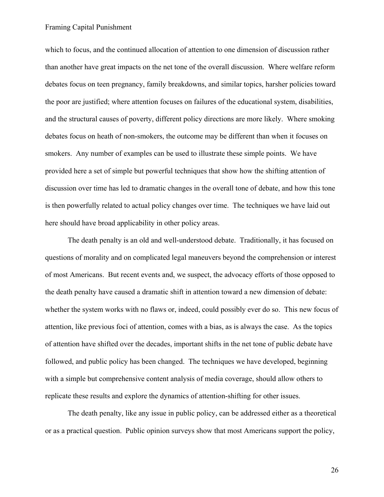which to focus, and the continued allocation of attention to one dimension of discussion rather than another have great impacts on the net tone of the overall discussion. Where welfare reform debates focus on teen pregnancy, family breakdowns, and similar topics, harsher policies toward the poor are justified; where attention focuses on failures of the educational system, disabilities, and the structural causes of poverty, different policy directions are more likely. Where smoking debates focus on heath of non-smokers, the outcome may be different than when it focuses on smokers. Any number of examples can be used to illustrate these simple points. We have provided here a set of simple but powerful techniques that show how the shifting attention of discussion over time has led to dramatic changes in the overall tone of debate, and how this tone is then powerfully related to actual policy changes over time. The techniques we have laid out here should have broad applicability in other policy areas.

The death penalty is an old and well-understood debate. Traditionally, it has focused on questions of morality and on complicated legal maneuvers beyond the comprehension or interest of most Americans. But recent events and, we suspect, the advocacy efforts of those opposed to the death penalty have caused a dramatic shift in attention toward a new dimension of debate: whether the system works with no flaws or, indeed, could possibly ever do so. This new focus of attention, like previous foci of attention, comes with a bias, as is always the case. As the topics of attention have shifted over the decades, important shifts in the net tone of public debate have followed, and public policy has been changed. The techniques we have developed, beginning with a simple but comprehensive content analysis of media coverage, should allow others to replicate these results and explore the dynamics of attention-shifting for other issues.

The death penalty, like any issue in public policy, can be addressed either as a theoretical or as a practical question. Public opinion surveys show that most Americans support the policy,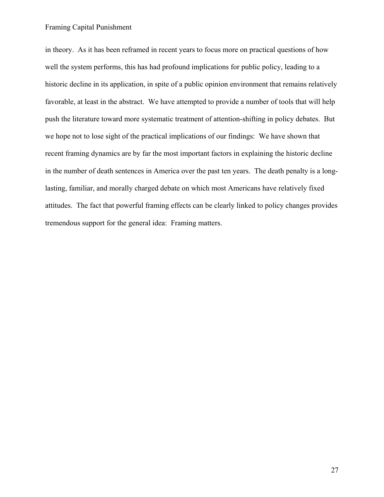in theory. As it has been reframed in recent years to focus more on practical questions of how well the system performs, this has had profound implications for public policy, leading to a historic decline in its application, in spite of a public opinion environment that remains relatively favorable, at least in the abstract. We have attempted to provide a number of tools that will help push the literature toward more systematic treatment of attention-shifting in policy debates. But we hope not to lose sight of the practical implications of our findings: We have shown that recent framing dynamics are by far the most important factors in explaining the historic decline in the number of death sentences in America over the past ten years. The death penalty is a longlasting, familiar, and morally charged debate on which most Americans have relatively fixed attitudes. The fact that powerful framing effects can be clearly linked to policy changes provides tremendous support for the general idea: Framing matters.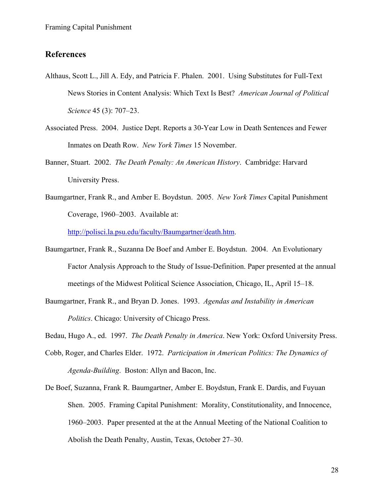## **References**

- Althaus, Scott L., Jill A. Edy, and Patricia F. Phalen. 2001. Using Substitutes for Full-Text News Stories in Content Analysis: Which Text Is Best? *American Journal of Political Science* 45 (3): 707–23.
- Associated Press. 2004. Justice Dept. Reports a 30-Year Low in Death Sentences and Fewer Inmates on Death Row. *New York Times* 15 November.
- Banner, Stuart. 2002. *The Death Penalty: An American History*. Cambridge: Harvard University Press.
- Baumgartner, Frank R., and Amber E. Boydstun. 2005. *New York Times* Capital Punishment Coverage, 1960–2003. Available at:

http://polisci.la.psu.edu/faculty/Baumgartner/death.htm.

- Baumgartner, Frank R., Suzanna De Boef and Amber E. Boydstun. 2004. An Evolutionary Factor Analysis Approach to the Study of Issue-Definition. Paper presented at the annual meetings of the Midwest Political Science Association, Chicago, IL, April 15–18.
- Baumgartner, Frank R., and Bryan D. Jones. 1993. *Agendas and Instability in American Politics*. Chicago: University of Chicago Press.

Bedau, Hugo A., ed. 1997. *The Death Penalty in America*. New York: Oxford University Press.

- Cobb, Roger, and Charles Elder. 1972. *Participation in American Politics: The Dynamics of Agenda-Building*. Boston: Allyn and Bacon, Inc.
- De Boef, Suzanna, Frank R. Baumgartner, Amber E. Boydstun, Frank E. Dardis, and Fuyuan Shen. 2005. Framing Capital Punishment: Morality, Constitutionality, and Innocence, 1960–2003. Paper presented at the at the Annual Meeting of the National Coalition to Abolish the Death Penalty, Austin, Texas, October 27–30.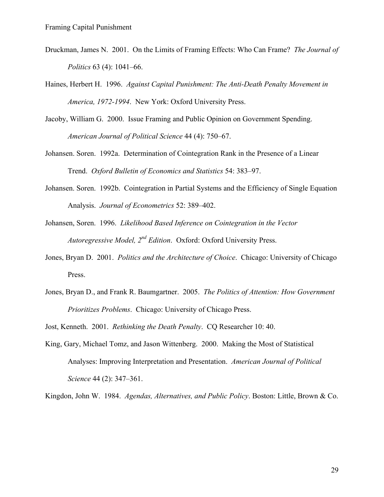- Druckman, James N. 2001. On the Limits of Framing Effects: Who Can Frame? *The Journal of Politics* 63 (4): 1041–66.
- Haines, Herbert H. 1996. *Against Capital Punishment: The Anti-Death Penalty Movement in America, 1972-1994*. New York: Oxford University Press.
- Jacoby, William G. 2000. Issue Framing and Public Opinion on Government Spending. *American Journal of Political Science* 44 (4): 750–67.
- Johansen. Soren. 1992a. Determination of Cointegration Rank in the Presence of a Linear Trend. *Oxford Bulletin of Economics and Statistics* 54: 383–97.
- Johansen. Soren. 1992b. Cointegration in Partial Systems and the Efficiency of Single Equation Analysis. *Journal of Econometrics* 52: 389–402.
- Johansen, Soren. 1996. *Likelihood Based Inference on Cointegration in the Vector Autoregressive Model, 2nd Edition*. Oxford: Oxford University Press.
- Jones, Bryan D. 2001. *Politics and the Architecture of Choice*. Chicago: University of Chicago Press.
- Jones, Bryan D., and Frank R. Baumgartner. 2005. *The Politics of Attention: How Government Prioritizes Problems*. Chicago: University of Chicago Press.
- Jost, Kenneth. 2001. *Rethinking the Death Penalty*. CQ Researcher 10: 40.
- King, Gary, Michael Tomz, and Jason Wittenberg. 2000. Making the Most of Statistical Analyses: Improving Interpretation and Presentation. *American Journal of Political Science* 44 (2): 347–361.

Kingdon, John W. 1984. *Agendas, Alternatives, and Public Policy*. Boston: Little, Brown & Co.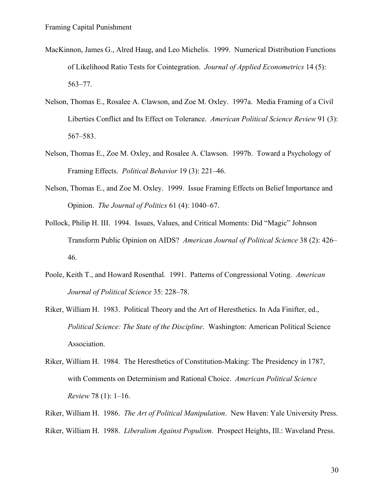- MacKinnon, James G., Alred Haug, and Leo Michelis. 1999. Numerical Distribution Functions of Likelihood Ratio Tests for Cointegration. *Journal of Applied Econometrics* 14 (5): 563–77.
- Nelson, Thomas E., Rosalee A. Clawson, and Zoe M. Oxley. 1997a. Media Framing of a Civil Liberties Conflict and Its Effect on Tolerance. *American Political Science Review* 91 (3): 567–583.
- Nelson, Thomas E., Zoe M. Oxley, and Rosalee A. Clawson. 1997b. Toward a Psychology of Framing Effects. *Political Behavior* 19 (3): 221–46.
- Nelson, Thomas E., and Zoe M. Oxley. 1999. Issue Framing Effects on Belief Importance and Opinion. *The Journal of Politics* 61 (4): 1040–67.
- Pollock, Philip H. III. 1994. Issues, Values, and Critical Moments: Did "Magic" Johnson Transform Public Opinion on AIDS? *American Journal of Political Science* 38 (2): 426– 46.
- Poole, Keith T., and Howard Rosenthal. 1991. Patterns of Congressional Voting. *American Journal of Political Science* 35: 228–78.
- Riker, William H. 1983. Political Theory and the Art of Heresthetics. In Ada Finifter, ed., *Political Science: The State of the Discipline*. Washington: American Political Science Association.
- Riker, William H. 1984. The Heresthetics of Constitution-Making: The Presidency in 1787, with Comments on Determinism and Rational Choice. *American Political Science Review* 78 (1): 1–16.
- Riker, William H. 1986. *The Art of Political Manipulation*. New Haven: Yale University Press. Riker, William H. 1988. *Liberalism Against Populism.* Prospect Heights, Ill.: Waveland Press.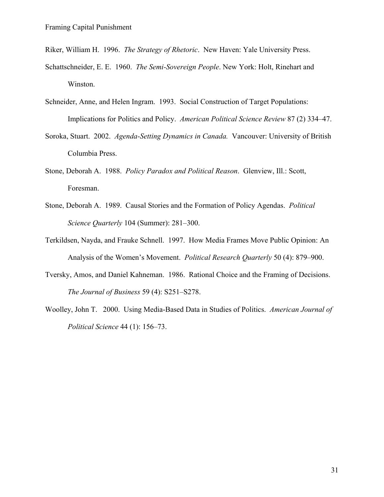Riker, William H. 1996. *The Strategy of Rhetoric*. New Haven: Yale University Press.

- Schattschneider, E. E. 1960. *The Semi-Sovereign People*. New York: Holt, Rinehart and Winston.
- Schneider, Anne, and Helen Ingram. 1993. Social Construction of Target Populations: Implications for Politics and Policy. *American Political Science Review* 87 (2) 334–47.
- Soroka, Stuart. 2002. *Agenda-Setting Dynamics in Canada.* Vancouver: University of British Columbia Press.
- Stone, Deborah A. 1988. *Policy Paradox and Political Reason*. Glenview, Ill.: Scott, Foresman.
- Stone, Deborah A. 1989. Causal Stories and the Formation of Policy Agendas. *Political Science Quarterly* 104 (Summer): 281–300.
- Terkildsen, Nayda, and Frauke Schnell. 1997. How Media Frames Move Public Opinion: An Analysis of the Women's Movement. *Political Research Quarterly* 50 (4): 879–900.
- Tversky, Amos, and Daniel Kahneman. 1986. Rational Choice and the Framing of Decisions. *The Journal of Business* 59 (4): S251–S278.
- Woolley, John T. 2000. Using Media-Based Data in Studies of Politics. *American Journal of Political Science* 44 (1): 156–73.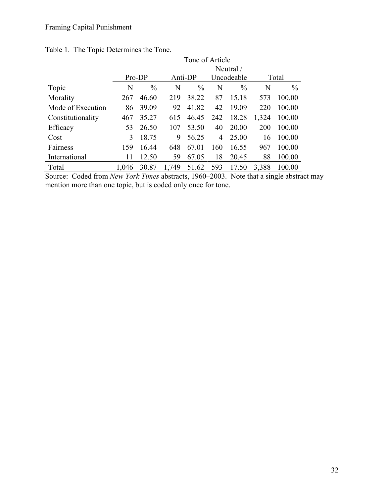|                   | Tone of Article |               |       |               |     |               |       |               |  |
|-------------------|-----------------|---------------|-------|---------------|-----|---------------|-------|---------------|--|
|                   | Neutral /       |               |       |               |     |               |       |               |  |
|                   | Pro-DP          |               |       | Anti-DP       |     | Uncodeable    |       | Total         |  |
| Topic             | N               | $\frac{0}{0}$ | N     | $\frac{0}{0}$ | N   | $\frac{0}{0}$ | N     | $\frac{0}{0}$ |  |
| Morality          | 267             | 46.60         | 219   | 38.22         | 87  | 15.18         | 573   | 100.00        |  |
| Mode of Execution | 86              | 39.09         | 92    | 41.82         | 42  | 19.09         | 220   | 100.00        |  |
| Constitutionality | 467             | 35.27         | 615   | 46.45         | 242 | 18.28         | 1,324 | 100.00        |  |
| Efficacy          | 53              | 26.50         | 107   | 53.50         | 40  | 20.00         | 200   | 100.00        |  |
| Cost              | 3               | 18.75         | 9     | 56.25         | 4   | 25.00         | 16    | 100.00        |  |
| Fairness          | 159             | 16.44         | 648   | 67.01         | 160 | 16.55         | 967   | 100.00        |  |
| International     | 11              | 12.50         | 59    | 67.05         | 18  | 20.45         | 88    | 100.00        |  |
| Total             | 1,046           | 30.87         | 1,749 | 51.62         | 593 | 17.50         | 3,388 | 100.00        |  |

## Table 1. The Topic Determines the Tone.

Source: Coded from *New York Times* abstracts, 1960–2003. Note that a single abstract may mention more than one topic, but is coded only once for tone.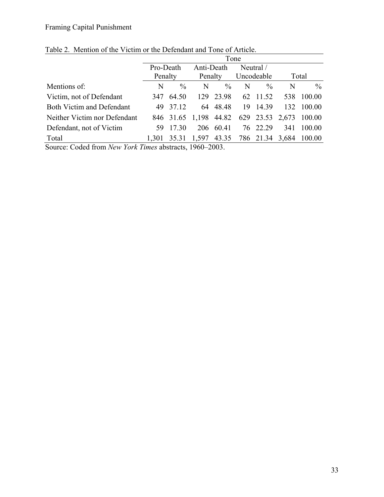|                              | Tone                 |               |                       |           |                         |               |       |                                              |
|------------------------------|----------------------|---------------|-----------------------|-----------|-------------------------|---------------|-------|----------------------------------------------|
|                              | Pro-Death<br>Penalty |               | Anti-Death<br>Penalty |           | Neutral /<br>Uncodeable |               |       |                                              |
|                              |                      |               |                       |           |                         |               | Total |                                              |
| Mentions of:                 | N                    | $\frac{0}{0}$ | N                     | $\%$      | N                       | $\frac{0}{0}$ | N     | $\frac{0}{0}$                                |
| Victim, not of Defendant     | 347                  | 64.50         |                       | 129 23.98 |                         | 62 11.52      | 538   | 100.00                                       |
| Both Victim and Defendant    |                      | 49 37.12      |                       | 64 48.48  |                         | 19 14.39      |       | 132 100.00                                   |
| Neither Victim nor Defendant |                      |               |                       |           |                         |               |       | 846 31.65 1,198 44.82 629 23.53 2,673 100.00 |
| Defendant, not of Victim     |                      | 59 17.30      |                       | 206 60.41 |                         | 76 22.29      | 341   | 100.00                                       |
| Total                        | 1,301                |               |                       |           |                         |               |       | 35.31 1,597 43.35 786 21.34 3,684 100.00     |

Table 2. Mention of the Victim or the Defendant and Tone of Article.

Source: Coded from *New York Times* abstracts, 1960–2003.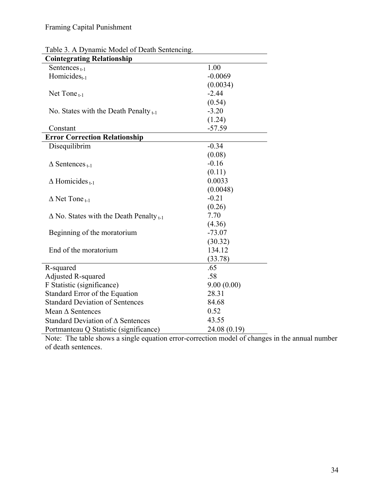| <b>Cointegrating Relationship</b>                   |              |  |  |  |
|-----------------------------------------------------|--------------|--|--|--|
| Sentences $_{t-1}$                                  | 1.00         |  |  |  |
| Homicides <sub>t-1</sub>                            | $-0.0069$    |  |  |  |
|                                                     | (0.0034)     |  |  |  |
| Net Tone $_{t-1}$                                   | $-2.44$      |  |  |  |
|                                                     | (0.54)       |  |  |  |
| No. States with the Death Penalty $_{t-1}$          | $-3.20$      |  |  |  |
|                                                     | (1.24)       |  |  |  |
| Constant                                            | $-57.59$     |  |  |  |
| <b>Error Correction Relationship</b>                |              |  |  |  |
| Disequilibrim                                       | $-0.34$      |  |  |  |
|                                                     | (0.08)       |  |  |  |
| $\triangle$ Sentences $_{t-1}$                      | $-0.16$      |  |  |  |
|                                                     | (0.11)       |  |  |  |
| $\triangle$ Homicides $_{t-1}$                      | 0.0033       |  |  |  |
|                                                     | (0.0048)     |  |  |  |
| $\triangle$ Net Tone $_{t-1}$                       | $-0.21$      |  |  |  |
|                                                     | (0.26)       |  |  |  |
| $\Delta$ No. States with the Death Penalty $_{t-1}$ | 7.70         |  |  |  |
|                                                     | (4.36)       |  |  |  |
| Beginning of the moratorium                         | $-73.07$     |  |  |  |
|                                                     | (30.32)      |  |  |  |
| End of the moratorium                               | 134.12       |  |  |  |
|                                                     | (33.78)      |  |  |  |
| R-squared                                           | .65          |  |  |  |
| Adjusted R-squared                                  | .58          |  |  |  |
| F Statistic (significance)                          | 9.00(0.00)   |  |  |  |
| Standard Error of the Equation                      | 28.31        |  |  |  |
| <b>Standard Deviation of Sentences</b>              | 84.68        |  |  |  |
| Mean $\triangle$ Sentences                          | 0.52         |  |  |  |
| Standard Deviation of $\Delta$ Sentences            | 43.55        |  |  |  |
| Portmanteau Q Statistic (significance)              | 24.08 (0.19) |  |  |  |

Table 3. A Dynamic Model of Death Sentencing.

Note: The table shows a single equation error-correction model of changes in the annual number of death sentences.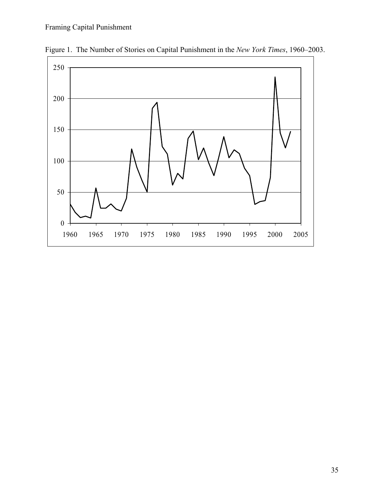

Figure 1. The Number of Stories on Capital Punishment in the *New York Times*, 1960–2003.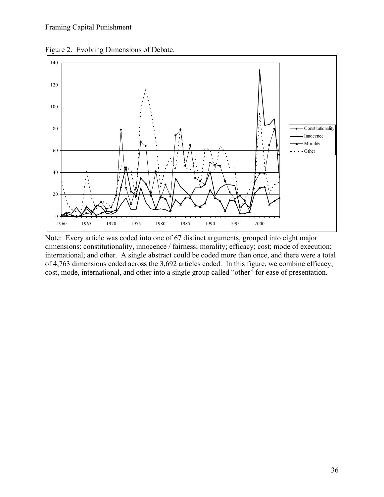

Figure 2. Evolving Dimensions of Debate.

Note: Every article was coded into one of 67 distinct arguments, grouped into eight major dimensions: constitutionality, innocence / fairness; morality; efficacy; cost; mode of execution; international; and other. A single abstract could be coded more than once, and there were a total of 4,763 dimensions coded across the 3,692 articles coded. In this figure, we combine efficacy, cost, mode, international, and other into a single group called "other" for ease of presentation.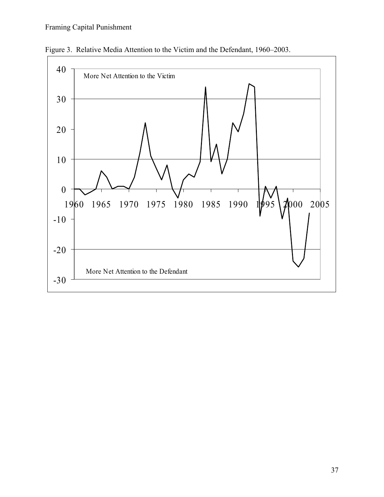

Figure 3. Relative Media Attention to the Victim and the Defendant, 1960–2003.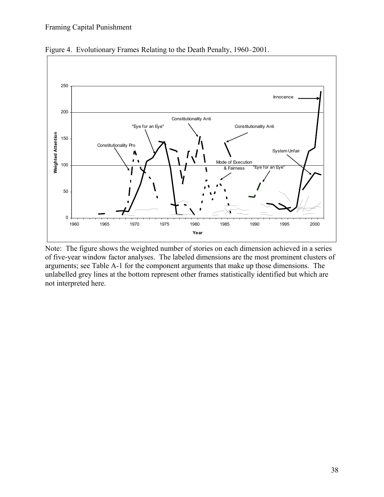

Figure 4. Evolutionary Frames Relating to the Death Penalty, 1960–2001.

Note: The figure shows the weighted number of stories on each dimension achieved in a series of five-year window factor analyses. The labeled dimensions are the most prominent clusters of arguments; see Table A-1 for the component arguments that make up those dimensions. The unlabelled grey lines at the bottom represent other frames statistically identified but which are not interpreted here.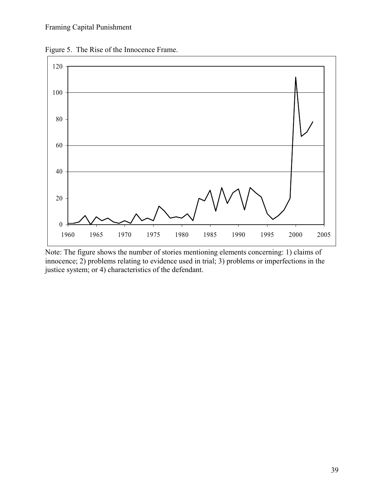Figure 5. The Rise of the Innocence Frame.



Note: The figure shows the number of stories mentioning elements concerning: 1) claims of innocence; 2) problems relating to evidence used in trial; 3) problems or imperfections in the justice system; or 4) characteristics of the defendant.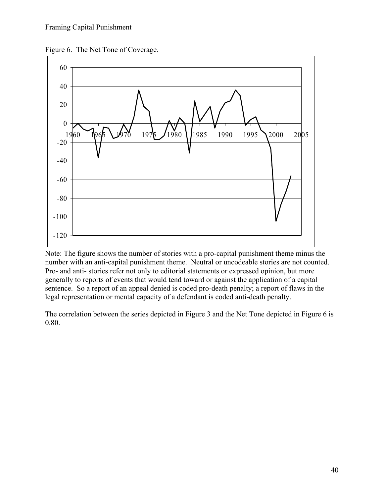



Note: The figure shows the number of stories with a pro-capital punishment theme minus the number with an anti-capital punishment theme. Neutral or uncodeable stories are not counted. Pro- and anti- stories refer not only to editorial statements or expressed opinion, but more generally to reports of events that would tend toward or against the application of a capital sentence. So a report of an appeal denied is coded pro-death penalty; a report of flaws in the legal representation or mental capacity of a defendant is coded anti-death penalty.

The correlation between the series depicted in Figure 3 and the Net Tone depicted in Figure 6 is 0.80.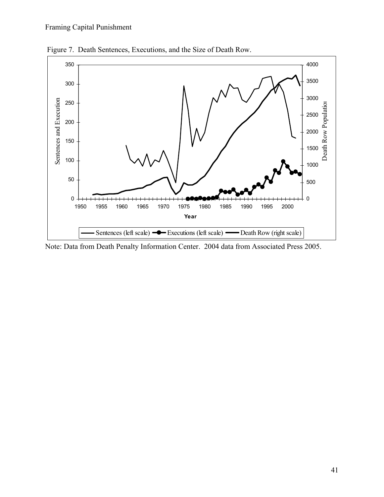

Figure 7. Death Sentences, Executions, and the Size of Death Row.

Note: Data from Death Penalty Information Center. 2004 data from Associated Press 2005.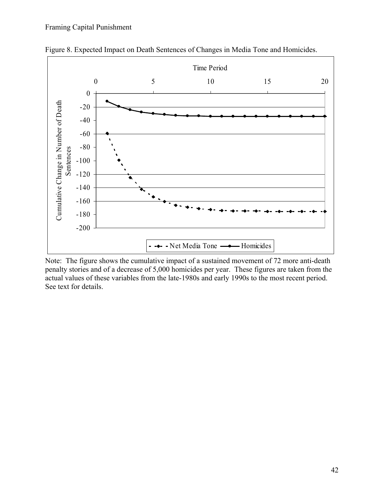

Figure 8. Expected Impact on Death Sentences of Changes in Media Tone and Homicides.

Note: The figure shows the cumulative impact of a sustained movement of 72 more anti-death penalty stories and of a decrease of 5,000 homicides per year. These figures are taken from the actual values of these variables from the late-1980s and early 1990s to the most recent period. See text for details.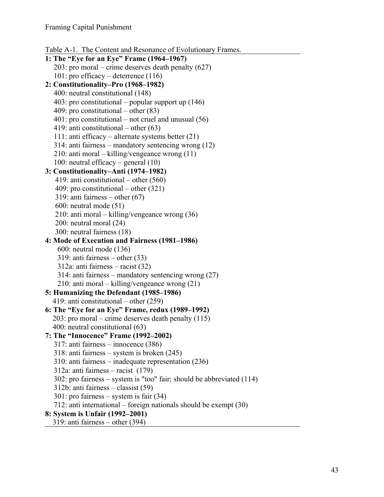```
Table A-1. The Content and Resonance of Evolutionary Frames.
```

```
1: The "Eye for an Eye" Frame (1964–1967) 
   203: pro moral – crime deserves death penalty (627) 
   101: pro efficacy – deterrence (116) 
2: Constitutionality–Pro (1968–1982) 
  400: neutral constitutional (148) 
  403: pro constitutional – popular support up (146) 
  409: pro constitutional – other (83) 
  401: pro constitutional – not cruel and unusual (56) 
  419: anti constitutional – other (63) 
   111: anti efficacy – alternate systems better (21) 
   314: anti fairness – mandatory sentencing wrong (12) 
   210: anti moral – killing/vengeance wrong (11) 
   100: neutral efficacy – general (10) 
3: Constitutionality–Anti (1974–1982) 
   419: anti constitutional – other (560) 
   409: pro constitutional – other (321) 
   319: anti fairness – other (67) 
   600: neutral mode (51) 
   210: anti moral – killing/vengeance wrong (36) 
   200: neutral moral (24) 
   300: neutral fairness (18) 
4: Mode of Execution and Fairness (1981–1986) 
    600: neutral mode (136) 
    319: anti fairness – other (33) 
    312a: anti fairness – racist (32) 
    314: anti fairness – mandatory sentencing wrong (27) 
    210: anti moral – killing/vengeance wrong (21) 
5: Humanizing the Defendant (1985–1986) 
  419: anti constitutional – other (259) 
6: The "Eye for an Eye" Frame, redux (1989–1992) 
  203: pro moral – crime deserves death penalty (115) 
  400: neutral constitutional (63) 
7: The "Innocence" Frame (1992–2002) 
   317: anti fairness – innocence (386) 
   318: anti fairness – system is broken (245) 
   310: anti fairness – inadequate representation (236) 
   312a: anti fairness – racist (179) 
   302: pro fairness – system is "too" fair; should be abbreviated (114) 
   312b: anti fairness – classist (59) 
   301: pro fairness – system is fair (34) 
   712: anti international – foreign nationals should be exempt (30) 
8: System is Unfair (1992–2001)
```

```
319: anti fairness – other (394)
```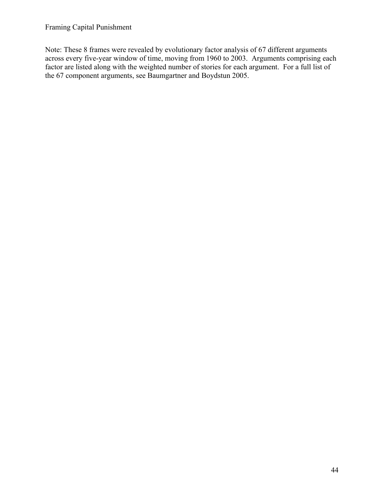Note: These 8 frames were revealed by evolutionary factor analysis of 67 different arguments across every five-year window of time, moving from 1960 to 2003. Arguments comprising each factor are listed along with the weighted number of stories for each argument. For a full list of the 67 component arguments, see Baumgartner and Boydstun 2005.